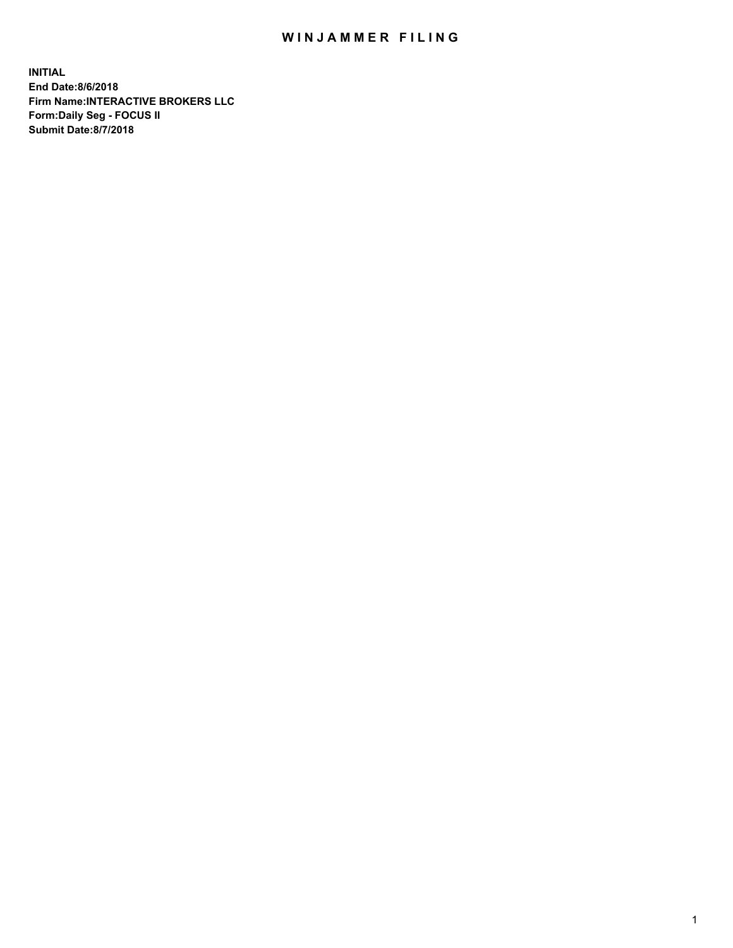## WIN JAMMER FILING

**INITIAL End Date:8/6/2018 Firm Name:INTERACTIVE BROKERS LLC Form:Daily Seg - FOCUS II Submit Date:8/7/2018**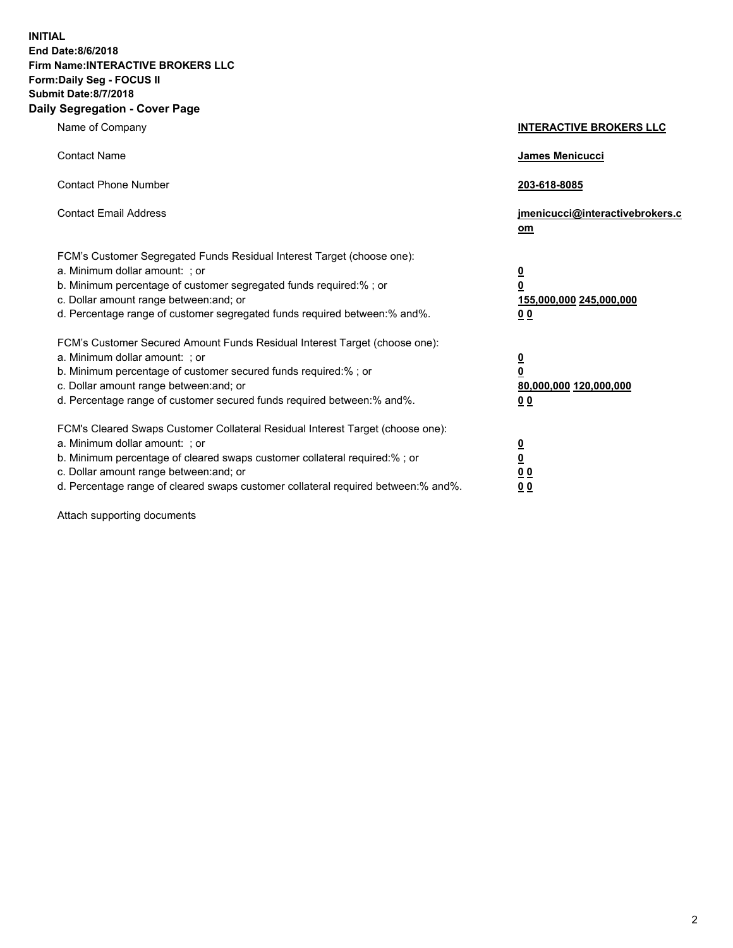**INITIAL End Date:8/6/2018 Firm Name:INTERACTIVE BROKERS LLC Form:Daily Seg - FOCUS II Submit Date:8/7/2018 Daily Segregation - Cover Page**

| Name of Company                                                                                                                                                                                                                                                                                                                | <b>INTERACTIVE BROKERS LLC</b>                                                                  |  |
|--------------------------------------------------------------------------------------------------------------------------------------------------------------------------------------------------------------------------------------------------------------------------------------------------------------------------------|-------------------------------------------------------------------------------------------------|--|
| <b>Contact Name</b>                                                                                                                                                                                                                                                                                                            | James Menicucci                                                                                 |  |
| <b>Contact Phone Number</b>                                                                                                                                                                                                                                                                                                    | 203-618-8085                                                                                    |  |
| <b>Contact Email Address</b>                                                                                                                                                                                                                                                                                                   | jmenicucci@interactivebrokers.c<br>$om$                                                         |  |
| FCM's Customer Segregated Funds Residual Interest Target (choose one):<br>a. Minimum dollar amount: ; or<br>b. Minimum percentage of customer segregated funds required:% ; or<br>c. Dollar amount range between: and; or<br>d. Percentage range of customer segregated funds required between:% and%.                         | $\overline{\mathbf{0}}$<br>$\overline{\mathbf{0}}$<br>155,000,000 245,000,000<br>0 <sub>0</sub> |  |
| FCM's Customer Secured Amount Funds Residual Interest Target (choose one):<br>a. Minimum dollar amount: ; or<br>b. Minimum percentage of customer secured funds required:%; or<br>c. Dollar amount range between: and; or<br>d. Percentage range of customer secured funds required between:% and%.                            | $\overline{\mathbf{0}}$<br>0<br>80,000,000 120,000,000<br>0 <sub>0</sub>                        |  |
| FCM's Cleared Swaps Customer Collateral Residual Interest Target (choose one):<br>a. Minimum dollar amount: ; or<br>b. Minimum percentage of cleared swaps customer collateral required:% ; or<br>c. Dollar amount range between: and; or<br>d. Percentage range of cleared swaps customer collateral required between:% and%. | $\frac{0}{0}$<br>0 <sub>0</sub><br>0 <sub>0</sub>                                               |  |

Attach supporting documents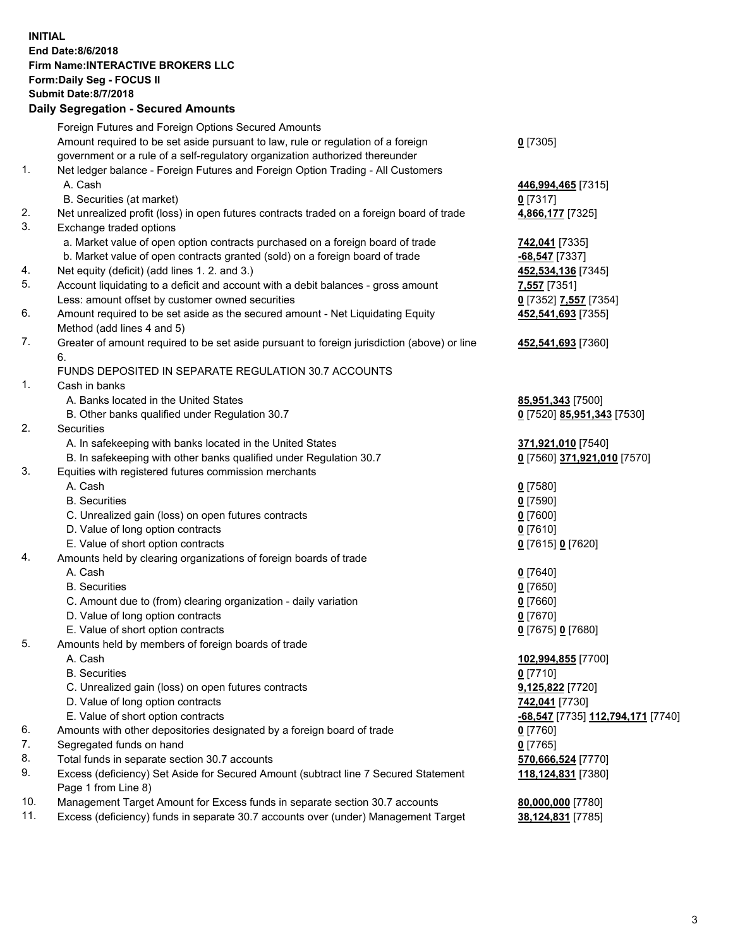## **INITIAL End Date:8/6/2018 Firm Name:INTERACTIVE BROKERS LLC Form:Daily Seg - FOCUS II Submit Date:8/7/2018 Daily Segregation - Secured Amounts**

| 446,994,465 [7315]<br>4,866,177 [7325]                |
|-------------------------------------------------------|
|                                                       |
|                                                       |
|                                                       |
|                                                       |
|                                                       |
|                                                       |
|                                                       |
|                                                       |
|                                                       |
|                                                       |
| 452,534,136 [7345]                                    |
|                                                       |
| 0 [7352] 7,557 [7354]                                 |
| 452,541,693 [7355]                                    |
|                                                       |
| 452,541,693 [7360]                                    |
|                                                       |
|                                                       |
|                                                       |
| 85,951,343 [7500]                                     |
| 0 [7520] 85,951,343 [7530]                            |
|                                                       |
| 371,921,010 [7540]                                    |
| 0 [7560] 371,921,010 [7570]                           |
|                                                       |
|                                                       |
|                                                       |
|                                                       |
|                                                       |
| 0 [7615] 0 [7620]                                     |
|                                                       |
|                                                       |
|                                                       |
|                                                       |
|                                                       |
| 0 [7675] 0 [7680]                                     |
|                                                       |
| 102,994,855 [7700]                                    |
|                                                       |
| 9,125,822 [7720]                                      |
|                                                       |
| <mark>-68,547</mark> [7735] <u>112,794,171</u> [7740] |
|                                                       |
|                                                       |
| 570,666,524 [7770]                                    |
| 118,124,831 [7380]                                    |
|                                                       |
| 80,000,000 [7780]                                     |
| 38,124,831 [7785]                                     |
|                                                       |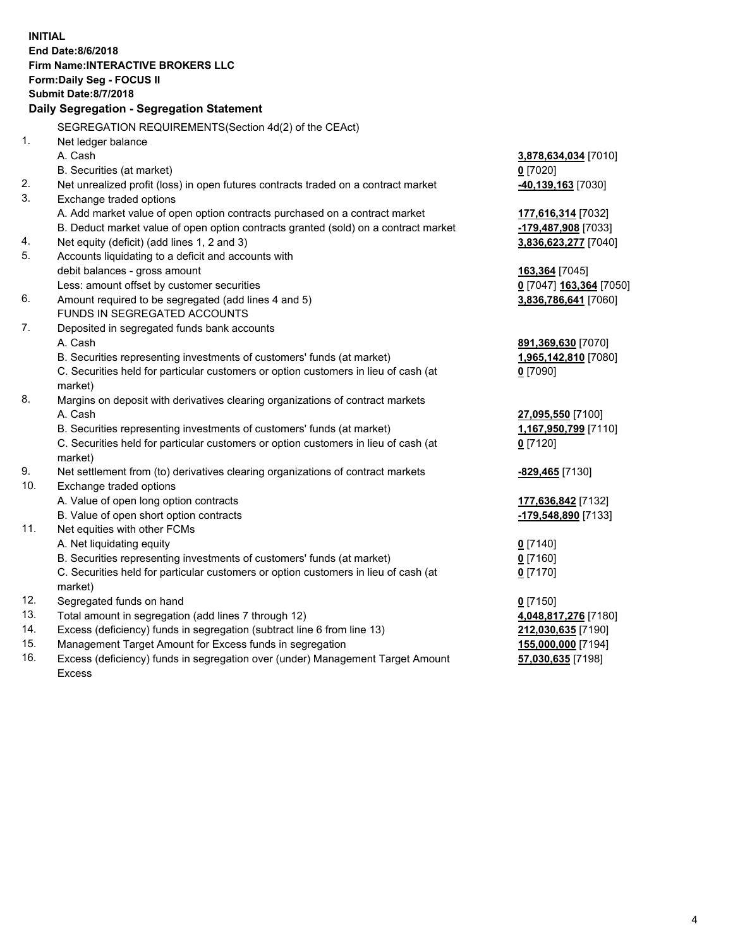**INITIAL End Date:8/6/2018 Firm Name:INTERACTIVE BROKERS LLC Form:Daily Seg - FOCUS II Submit Date:8/7/2018 Daily Segregation - Segregation Statement** SEGREGATION REQUIREMENTS(Section 4d(2) of the CEAct) 1. Net ledger balance A. Cash **3,878,634,034** [7010] B. Securities (at market) **0** [7020] 2. Net unrealized profit (loss) in open futures contracts traded on a contract market **-40,139,163** [7030] 3. Exchange traded options A. Add market value of open option contracts purchased on a contract market **177,616,314** [7032] B. Deduct market value of open option contracts granted (sold) on a contract market **-179,487,908** [7033] 4. Net equity (deficit) (add lines 1, 2 and 3) **3,836,623,277** [7040] 5. Accounts liquidating to a deficit and accounts with debit balances - gross amount **163,364** [7045] Less: amount offset by customer securities **0** [7047] **163,364** [7050] 6. Amount required to be segregated (add lines 4 and 5) **3,836,786,641** [7060] FUNDS IN SEGREGATED ACCOUNTS 7. Deposited in segregated funds bank accounts A. Cash **891,369,630** [7070] B. Securities representing investments of customers' funds (at market) **1,965,142,810** [7080] C. Securities held for particular customers or option customers in lieu of cash (at market) **0** [7090] 8. Margins on deposit with derivatives clearing organizations of contract markets A. Cash **27,095,550** [7100] B. Securities representing investments of customers' funds (at market) **1,167,950,799** [7110] C. Securities held for particular customers or option customers in lieu of cash (at market) **0** [7120] 9. Net settlement from (to) derivatives clearing organizations of contract markets **-829,465** [7130] 10. Exchange traded options A. Value of open long option contracts **177,636,842** [7132] B. Value of open short option contracts **-179,548,890** [7133] 11. Net equities with other FCMs A. Net liquidating equity **0** [7140] B. Securities representing investments of customers' funds (at market) **0** [7160] C. Securities held for particular customers or option customers in lieu of cash (at market) **0** [7170] 12. Segregated funds on hand **0** [7150] 13. Total amount in segregation (add lines 7 through 12) **4,048,817,276** [7180] 14. Excess (deficiency) funds in segregation (subtract line 6 from line 13) **212,030,635** [7190] 15. Management Target Amount for Excess funds in segregation **155,000,000** [7194] 16. Excess (deficiency) funds in segregation over (under) Management Target Amount **57,030,635** [7198]

Excess